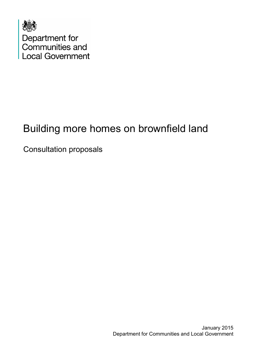

# Building more homes on brownfield land

Consultation proposals

January 2015 Department for Communities and Local Government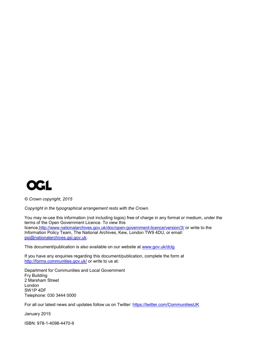

*© Crown copyright, 2015*

*Copyright in the typographical arrangement rests with the Crown.*

You may re-use this information (not including logos) free of charge in any format or medium, under the terms of the Open Government Licence. To view this licence[,http://www.nationalarchives.gov.uk/doc/open-government-licence/version/3/](http://www.nationalarchives.gov.uk/doc/open-government-licence/version/3/) or write to the Information Policy Team, The National Archives, Kew, London TW9 4DU, or email: [psi@nationalarchives.gsi.gov.uk.](mailto:psi@nationalarchives.gsi.gov.uk)

This document/publication is also available on our website at [www.gov.uk/dclg](http://www.gov.uk/dclg)

If you have any enquiries regarding this document/publication, complete the form at <http://forms.communities.gov.uk/> or write to us at:

Department for Communities and Local Government Fry Building 2 Marsham Street London SW1P 4DF Telephone: 030 3444 0000

For all our latest news and updates follow us on Twitter:<https://twitter.com/CommunitiesUK>

January 2015

ISBN: 978-1-4098-4470-9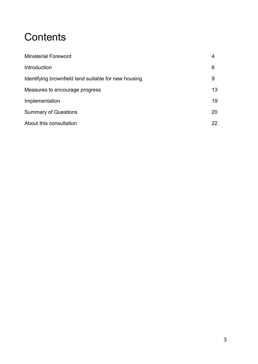# **Contents**

| <b>Ministerial Foreword</b>                          | 4  |
|------------------------------------------------------|----|
| Introduction                                         | 6  |
| Identifying brownfield land suitable for new housing | 9  |
| Measures to encourage progress                       | 13 |
| Implementation                                       | 19 |
| <b>Summary of Questions</b>                          |    |
| About this consultation                              |    |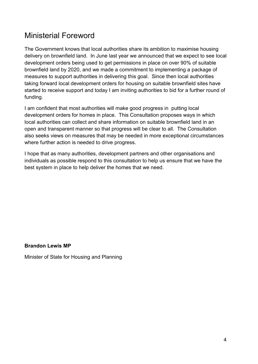### Ministerial Foreword

The Government knows that local authorities share its ambition to maximise housing delivery on brownfield land. In June last year we announced that we expect to see local development orders being used to get permissions in place on over 90% of suitable brownfield land by 2020, and we made a commitment to implementing a package of measures to support authorities in delivering this goal. Since then local authorities taking forward local development orders for housing on suitable brownfield sites have started to receive support and today I am inviting authorities to bid for a further round of funding.

I am confident that most authorities will make good progress in putting local development orders for homes in place. This Consultation proposes ways in which local authorities can collect and share information on suitable brownfield land in an open and transparent manner so that progress will be clear to all. The Consultation also seeks views on measures that may be needed in more exceptional circumstances where further action is needed to drive progress.

I hope that as many authorities, development partners and other organisations and individuals as possible respond to this consultation to help us ensure that we have the best system in place to help deliver the homes that we need.

**Brandon Lewis MP**

Minister of State for Housing and Planning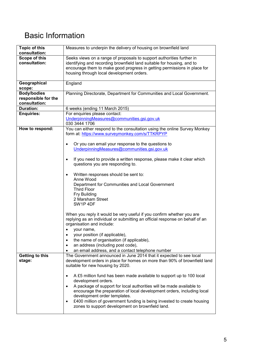## Basic Information

| <b>Topic of this</b><br>consultation: | Measures to underpin the delivery of housing on brownfield land                                                                                |
|---------------------------------------|------------------------------------------------------------------------------------------------------------------------------------------------|
| Scope of this                         | Seeks views on a range of proposals to support authorities further in                                                                          |
| consultation:                         | identifying and recording brownfield land suitable for housing, and to                                                                         |
|                                       | encourage them to make good progress in getting permissions in place for                                                                       |
|                                       | housing through local development orders.                                                                                                      |
| Geographical                          | England                                                                                                                                        |
| scope:                                |                                                                                                                                                |
| <b>Body/bodies</b>                    | Planning Directorate, Department for Communities and Local Government.                                                                         |
| responsible for the                   |                                                                                                                                                |
| consultation:<br><b>Duration:</b>     |                                                                                                                                                |
| <b>Enquiries:</b>                     | 6 weeks (ending 11 March 2015)<br>For enquiries please contact:                                                                                |
|                                       | UnderpinningMeasures@communities.gsi.gov.uk                                                                                                    |
|                                       | 030 3444 1706                                                                                                                                  |
| How to respond:                       | You can either respond to the consultation using the online Survey Monkey                                                                      |
|                                       | form at: https://www.surveymonkey.com/s/TTKRPYP                                                                                                |
|                                       |                                                                                                                                                |
|                                       | Or you can email your response to the questions to<br>UnderpinningMeasures@communities.gsi.gov.uk                                              |
|                                       |                                                                                                                                                |
|                                       | If you need to provide a written response, please make it clear which                                                                          |
|                                       | questions you are responding to.                                                                                                               |
|                                       |                                                                                                                                                |
|                                       | Written responses should be sent to:<br>Anne Wood                                                                                              |
|                                       | Department for Communities and Local Government                                                                                                |
|                                       | <b>Third Floor</b>                                                                                                                             |
|                                       | Fry Building                                                                                                                                   |
|                                       | 2 Marsham Street                                                                                                                               |
|                                       | SW1P4DF                                                                                                                                        |
|                                       | When you reply it would be very useful if you confirm whether you are                                                                          |
|                                       | replying as an individual or submitting an official response on behalf of an                                                                   |
|                                       | organisation and include:                                                                                                                      |
|                                       | your name,                                                                                                                                     |
|                                       | your position (if applicable),                                                                                                                 |
|                                       | the name of organisation (if applicable),<br>٠                                                                                                 |
|                                       | an address (including post code),                                                                                                              |
| Getting to this                       | an email address, and a contact telephone number<br>$\bullet$<br>The Government announced in June 2014 that it expected to see local           |
| stage:                                | development orders in place for homes on more than 90% of brownfield land                                                                      |
|                                       | suitable for new housing by 2020.                                                                                                              |
|                                       |                                                                                                                                                |
|                                       | A £5 million fund has been made available to support up to 100 local<br>$\bullet$                                                              |
|                                       | development orders.                                                                                                                            |
|                                       | A package of support for local authorities will be made available to<br>encourage the preparation of local development orders, including local |
|                                       | development order templates.                                                                                                                   |
|                                       | £400 million of government funding is being invested to create housing<br>$\bullet$                                                            |
|                                       | zones to support development on brownfield land.                                                                                               |
|                                       |                                                                                                                                                |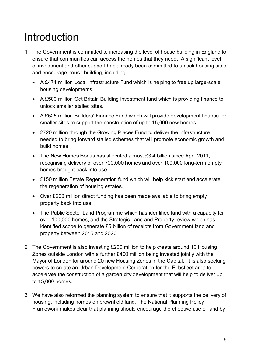# Introduction

- 1. The Government is committed to increasing the level of house building in England to ensure that communities can access the homes that they need. A significant level of investment and other support has already been committed to unlock housing sites and encourage house building, including:
	- A £474 million Local Infrastructure Fund which is helping to free up large-scale housing developments.
	- A £500 million Get Britain Building investment fund which is providing finance to unlock smaller stalled sites.
	- A £525 million Builders' Finance Fund which will provide development finance for smaller sites to support the construction of up to 15,000 new homes.
	- £720 million through the Growing Places Fund to deliver the infrastructure needed to bring forward stalled schemes that will promote economic growth and build homes.
	- The New Homes Bonus has allocated almost £3.4 billion since April 2011, recognising delivery of over 700,000 homes and over 100,000 long-term empty homes brought back into use.
	- £150 million Estate Regeneration fund which will help kick start and accelerate the regeneration of housing estates.
	- Over £200 million direct funding has been made available to bring empty property back into use.
	- The Public Sector Land Programme which has identified land with a capacity for over 100,000 homes, and the Strategic Land and Property review which has identified scope to generate £5 billion of receipts from Government land and property between 2015 and 2020.
- 2. The Government is also investing £200 million to help create around 10 Housing Zones outside London with a further £400 million being invested jointly with the Mayor of London for around 20 new Housing Zones in the Capital. It is also seeking powers to create an Urban Development Corporation for the Ebbsfleet area to accelerate the construction of a garden city development that will help to deliver up to 15,000 homes.
- 3. We have also reformed the planning system to ensure that it supports the delivery of housing, including homes on brownfield land. The National Planning Policy Framework makes clear that planning should encourage the effective use of land by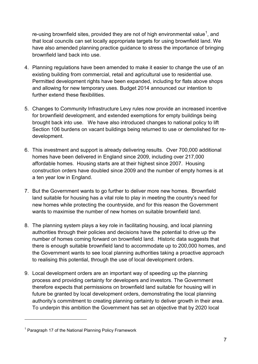re-using brownfield sites, provided they are not of high environmental value<sup>[1](#page-6-0)</sup>, and that local councils can set locally appropriate targets for using brownfield land. We have also amended planning practice guidance to stress the importance of bringing brownfield land back into use.

- 4. Planning regulations have been amended to make it easier to change the use of an existing building from commercial, retail and agricultural use to residential use. Permitted development rights have been expanded, including for flats above shops and allowing for new temporary uses. Budget 2014 announced our intention to further extend these flexibilities.
- 5. Changes to Community Infrastructure Levy rules now provide an increased incentive for brownfield development, and extended exemptions for empty buildings being brought back into use. We have also introduced changes to national policy to lift Section 106 burdens on vacant buildings being returned to use or demolished for redevelopment.
- 6. This investment and support is already delivering results. Over 700,000 additional homes have been delivered in England since 2009, including over 217,000 affordable homes. Housing starts are at their highest since 2007. Housing construction orders have doubled since 2009 and the number of empty homes is at a ten year low in England.
- 7. But the Government wants to go further to deliver more new homes. Brownfield land suitable for housing has a vital role to play in meeting the country's need for new homes while protecting the countryside, and for this reason the Government wants to maximise the number of new homes on suitable brownfield land.
- 8. The planning system plays a key role in facilitating housing, and local planning authorities through their policies and decisions have the potential to drive up the number of homes coming forward on brownfield land. Historic data suggests that there is enough suitable brownfield land to accommodate up to 200,000 homes, and the Government wants to see local planning authorities taking a proactive approach to realising this potential, through the use of local development orders.
- 9. Local development orders are an important way of speeding up the planning process and providing certainty for developers and investors. The Government therefore expects that permissions on brownfield land suitable for housing will in future be granted by local development orders, demonstrating the local planning authority's commitment to creating planning certainty to deliver growth in their area. To underpin this ambition the Government has set an objective that by 2020 local

-

<span id="page-6-0"></span> $1$  Paragraph 17 of the National Planning Policy Framework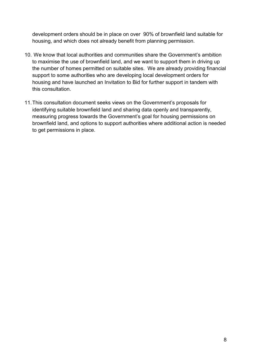development orders should be in place on over 90% of brownfield land suitable for housing, and which does not already benefit from planning permission.

- 10. We know that local authorities and communities share the Government's ambition to maximise the use of brownfield land, and we want to support them in driving up the number of homes permitted on suitable sites. We are already providing financial support to some authorities who are developing local development orders for housing and have launched an Invitation to Bid for further support in tandem with this consultation.
- 11.This consultation document seeks views on the Government's proposals for identifying suitable brownfield land and sharing data openly and transparently, measuring progress towards the Government's goal for housing permissions on brownfield land, and options to support authorities where additional action is needed to get permissions in place.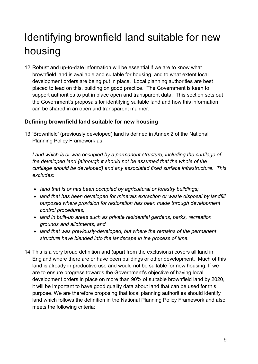# Identifying brownfield land suitable for new housing

12.Robust and up-to-date information will be essential if we are to know what brownfield land is available and suitable for housing, and to what extent local development orders are being put in place. Local planning authorities are best placed to lead on this, building on good practice. The Government is keen to support authorities to put in place open and transparent data. This section sets out the Government's proposals for identifying suitable land and how this information can be shared in an open and transparent manner.

#### **Defining brownfield land suitable for new housing**

13.'Brownfield' (previously developed) land is defined in Annex 2 of the National Planning Policy Framework as:

*Land which is or was occupied by a permanent structure, including the curtilage of the developed land (although it should not be assumed that the whole of the curtilage should be developed) and any associated fixed surface infrastructure. This excludes:* 

- *land that is or has been occupied by agricultural or forestry buildings;*
- *land that has been developed for minerals extraction or waste disposal by landfill purposes where provision for restoration has been made through development control procedures;*
- *land in built-up areas such as private residential gardens, parks, recreation grounds and allotments; and*
- *land that was previously-developed, but where the remains of the permanent structure have blended into the landscape in the process of time.*
- 14.This is a very broad definition and (apart from the exclusions) covers all land in England where there are or have been buildings or other development. Much of this land is already in productive use and would not be suitable for new housing. If we are to ensure progress towards the Government's objective of having local development orders in place on more than 90% of suitable brownfield land by 2020, it will be important to have good quality data about land that can be used for this purpose. We are therefore proposing that local planning authorities should identify land which follows the definition in the National Planning Policy Framework and also meets the following criteria: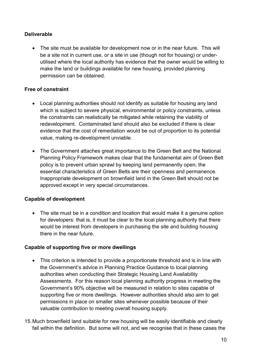#### **Deliverable**

• The site must be available for development now or in the near future. This will be a site not in current use, or a site in use (though not for housing) or underutilised where the local authority has evidence that the owner would be willing to make the land or buildings available for new housing, provided planning permission can be obtained.

#### **Free of constraint**

- Local planning authorities should not identify as suitable for housing any land which is subject to severe physical, environmental or policy constraints, unless the constraints can realistically be mitigated while retaining the viability of redevelopment. Contaminated land should also be excluded if there is clear evidence that the cost of remediation would be out of proportion to its potential value, making re-development unviable.
- The Government attaches great importance to the Green Belt and the National Planning Policy Framework makes clear that the fundamental aim of Green Belt policy is to prevent urban sprawl by keeping land permanently open; the essential characteristics of Green Belts are their openness and permanence. Inappropriate development on brownfield land in the Green Belt should not be approved except in very special circumstances.

#### **Capable of development**

• The site must be in a condition and location that would make it a genuine option for developers: that is, it must be clear to the local planning authority that there would be interest from developers in purchasing the site and building housing there in the near future.

#### **Capable of supporting five or more dwellings**

- This criterion is intended to provide a proportionate threshold and is in line with the Government's advice in Planning Practice Guidance to local planning authorities when conducting their Strategic Housing Land Availability Assessments. For this reason local planning authority progress in meeting the Government's 90% objective will be measured in relation to sites capable of supporting five or more dwellings. However authorities should also aim to get permissions in place on smaller sites whenever possible because of their valuable contribution to meeting overall housing supply.
- 15.Much brownfield land suitable for new housing will be easily identifiable and clearly fall within the definition. But some will not, and we recognise that in these cases the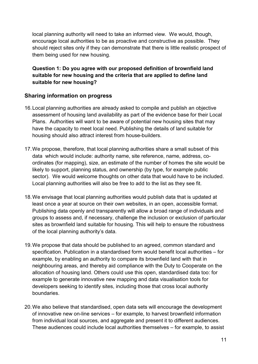local planning authority will need to take an informed view. We would, though, encourage local authorities to be as proactive and constructive as possible. They should reject sites only if they can demonstrate that there is little realistic prospect of them being used for new housing.

**Question 1: Do you agree with our proposed definition of brownfield land suitable for new housing and the criteria that are applied to define land suitable for new housing?** 

#### **Sharing information on progress**

- 16.Local planning authorities are already asked to compile and publish an objective assessment of housing land availability as part of the evidence base for their Local Plans. Authorities will want to be aware of potential new housing sites that may have the capacity to meet local need. Publishing the details of land suitable for housing should also attract interest from house-builders.
- 17.We propose, therefore, that local planning authorities share a small subset of this data which would include: authority name, site reference, name, address, coordinates (for mapping), size, an estimate of the number of homes the site would be likely to support, planning status, and ownership (by type, for example public sector). We would welcome thoughts on other data that would have to be included. Local planning authorities will also be free to add to the list as they see fit.
- 18.We envisage that local planning authorities would publish data that is updated at least once a year at source on their own websites, in an open, accessible format. Publishing data openly and transparently will allow a broad range of individuals and groups to assess and, if necessary, challenge the inclusion or exclusion of particular sites as brownfield land suitable for housing. This will help to ensure the robustness of the local planning authority's data.
- 19.We propose that data should be published to an agreed, common standard and specification. Publication in a standardised form would benefit local authorities – for example, by enabling an authority to compare its brownfield land with that in neighbouring areas, and thereby aid compliance with the Duty to Cooperate on the allocation of housing land. Others could use this open, standardised data too: for example to generate innovative new mapping and data visualisation tools for developers seeking to identify sites, including those that cross local authority boundaries.
- 20.We also believe that standardised, open data sets will encourage the development of innovative new on-line services – for example, to harvest brownfield information from individual local sources, and aggregate and present it to different audiences. These audiences could include local authorities themselves – for example, to assist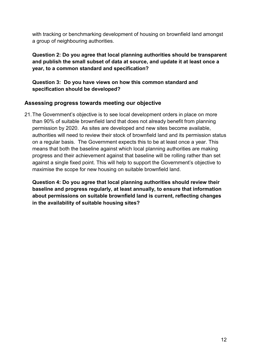with tracking or benchmarking development of housing on brownfield land amongst a group of neighbouring authorities.

**Question 2: Do you agree that local planning authorities should be transparent and publish the small subset of data at source, and update it at least once a year, to a common standard and specification?**

**Question 3: Do you have views on how this common standard and specification should be developed?** 

#### **Assessing progress towards meeting our objective**

21.The Government's objective is to see local development orders in place on more than 90% of suitable brownfield land that does not already benefit from planning permission by 2020. As sites are developed and new sites become available, authorities will need to review their stock of brownfield land and its permission status on a regular basis. The Government expects this to be at least once a year. This means that both the baseline against which local planning authorities are making progress and their achievement against that baseline will be rolling rather than set against a single fixed point. This will help to support the Government's objective to maximise the scope for new housing on suitable brownfield land.

**Question 4: Do you agree that local planning authorities should review their baseline and progress regularly, at least annually, to ensure that information about permissions on suitable brownfield land is current, reflecting changes in the availability of suitable housing sites?**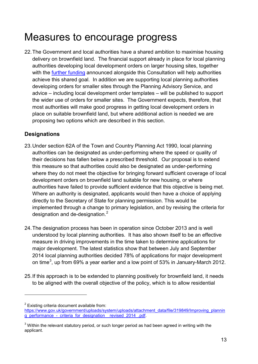## Measures to encourage progress

22.The Government and local authorities have a shared ambition to maximise housing delivery on brownfield land. The financial support already in place for local planning authorities developing local development orders on larger housing sites, together with the [further funding](https://www.gov.uk/government/publications/local-development-orders-for-housing-development-on-brownfield-land-invitation-to-bid) announced alongside this Consultation will help authorities achieve this shared goal. In addition we are supporting local planning authorities developing orders for smaller sites through the Planning Advisory Service, and advice – including local development order templates – will be published to support the wider use of orders for smaller sites. The Government expects, therefore, that most authorities will make good progress in getting local development orders in place on suitable brownfield land, but where additional action is needed we are proposing two options which are described in this section.

#### **Designations**

- 23.Under section 62A of the Town and Country Planning Act 1990, local planning authorities can be designated as under-performing where the speed or quality of their decisions has fallen below a prescribed threshold. Our proposal is to extend this measure so that authorities could also be designated as under-performing where they do not meet the objective for bringing forward sufficient coverage of local development orders on brownfield land suitable for new housing, or where authorities have failed to provide sufficient evidence that this objective is being met. Where an authority is designated, applicants would then have a choice of applying directly to the Secretary of State for planning permission. This would be implemented through a change to primary legislation, and by revising the criteria for designation and de-designation.<sup>[2](#page-12-0)</sup>
- 24.The designation process has been in operation since October 2013 and is well understood by local planning authorities. It has also shown itself to be an effective measure in driving improvements in the time taken to determine applications for major development. The latest statistics show that between July and September 2014 local planning authorities decided 78% of applications for major development on time<sup>[3](#page-12-1)</sup>, up from 69% a year earlier and a low point of 53% in January-March 2012.
- 25.If this approach is to be extended to planning positively for brownfield land, it needs to be aligned with the overall objective of the policy, which is to allow residential

-

<span id="page-12-0"></span> $2$  Existing criteria document available from:

[https://www.gov.uk/government/uploads/system/uploads/attachment\\_data/file/319849/Improving\\_plannin](https://www.gov.uk/government/uploads/system/uploads/attachment_data/file/319849/Improving_planning_performance_-_criteria_for_designation__revised_2014_.pdf) [g\\_performance\\_-\\_criteria\\_for\\_designation\\_\\_revised\\_2014\\_.pdf.](https://www.gov.uk/government/uploads/system/uploads/attachment_data/file/319849/Improving_planning_performance_-_criteria_for_designation__revised_2014_.pdf)

<span id="page-12-1"></span> $3$  Within the relevant statutory period, or such longer period as had been agreed in writing with the applicant.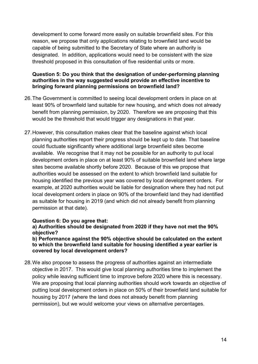development to come forward more easily on suitable brownfield sites. For this reason, we propose that only applications relating to brownfield land would be capable of being submitted to the Secretary of State where an authority is designated. In addition, applications would need to be consistent with the size threshold proposed in this consultation of five residential units or more.

#### **Question 5: Do you think that the designation of under-performing planning authorities in the way suggested would provide an effective incentive to bringing forward planning permissions on brownfield land?**

- 26.The Government is committed to seeing local development orders in place on at least 90% of brownfield land suitable for new housing, and which does not already benefit from planning permission, by 2020. Therefore we are proposing that this would be the threshold that would trigger any designations in that year.
- 27.However, this consultation makes clear that the baseline against which local planning authorities report their progress should be kept up to date. That baseline could fluctuate significantly where additional large brownfield sites become available. We recognise that it may not be possible for an authority to put local development orders in place on at least 90% of suitable brownfield land where large sites become available shortly before 2020. Because of this we propose that authorities would be assessed on the extent to which brownfield land suitable for housing identified the previous year was covered by local development orders. For example, at 2020 authorities would be liable for designation where they had not put local development orders in place on 90% of the brownfield land they had identified as suitable for housing in 2019 (and which did not already benefit from planning permission at that date).

#### **Question 6: Do you agree that:**

**a) Authorities should be designated from 2020 if they have not met the 90% objective?**

**b) Performance against the 90% objective should be calculated on the extent to which the brownfield land suitable for housing identified a year earlier is covered by local development orders?**

28.We also propose to assess the progress of authorities against an intermediate objective in 2017. This would give local planning authorities time to implement the policy while leaving sufficient time to improve before 2020 where this is necessary. We are proposing that local planning authorities should work towards an objective of putting local development orders in place on 50% of their brownfield land suitable for housing by 2017 (where the land does not already benefit from planning permission), but we would welcome your views on alternative percentages.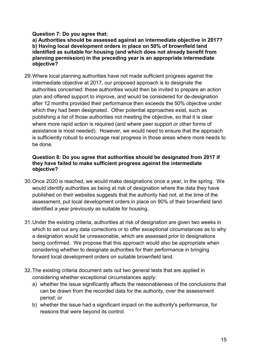#### **Question 7: Do you agree that:**

**a) Authorities should be assessed against an intermediate objective in 2017? b) Having local development orders in place on 50% of brownfield land identified as suitable for housing (and which does not already benefit from planning permission) in the preceding year is an appropriate intermediate objective?**

29.Where local planning authorities have not made sufficient progress against the intermediate objective at 2017, our proposed approach is to designate the authorities concerned: these authorities would then be invited to prepare an action plan and offered support to improve, and would be considered for de-designation after 12 months provided their performance then exceeds the 50% objective under which they had been designated. Other potential approaches exist, such as publishing a list of those authorities not meeting the objective, so that it is clear where more rapid action is required (and where peer support or other forms of assistance is most needed). However, we would need to ensure that the approach is sufficiently robust to encourage real progress in those areas where more needs to be done.

#### **Question 8: Do you agree that authorities should be designated from 2017 if they have failed to make sufficient progress against the intermediate objective?**

- 30.Once 2020 is reached, we would make designations once a year, in the spring. We would identify authorities as being at risk of designation where the data they have published on their websites suggests that the authority had not, at the time of the assessment, put local development orders in place on 90% of their brownfield land identified a year previously as suitable for housing.
- 31.Under the existing criteria, authorities at risk of designation are given two weeks in which to set out any data corrections or to offer exceptional circumstances as to why a designation would be unreasonable, which are assessed prior to designations being confirmed. We propose that this approach would also be appropriate when considering whether to designate authorities for their performance in bringing forward local development orders on suitable brownfield land.
- 32.The existing criteria document sets out two general tests that are applied in considering whether exceptional circumstances apply:
	- a) whether the issue significantly affects the reasonableness of the conclusions that can be drawn from the recorded data for the authority, over the assessment period; or
	- b) whether the issue had a significant impact on the authority's performance, for reasons that were beyond its control.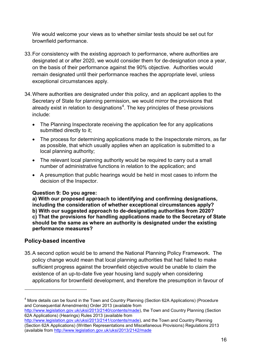We would welcome your views as to whether similar tests should be set out for brownfield performance.

- 33.For consistency with the existing approach to performance, where authorities are designated at or after 2020, we would consider them for de-designation once a year, on the basis of their performance against the 90% objective. Authorities would remain designated until their performance reaches the appropriate level, unless exceptional circumstances apply.
- 34.Where authorities are designated under this policy, and an applicant applies to the Secretary of State for planning permission, we would mirror the provisions that already exist in relation to designations<sup>[4](#page-15-0)</sup>. The key principles of these provisions include:
	- The Planning Inspectorate receiving the application fee for any applications submitted directly to it;
	- The process for determining applications made to the Inspectorate mirrors, as far as possible, that which usually applies when an application is submitted to a local planning authority;
	- The relevant local planning authority would be required to carry out a small number of administrative functions in relation to the application; and
	- A presumption that public hearings would be held in most cases to inform the decision of the Inspector.

#### **Question 9: Do you agree:**

**a) With our proposed approach to identifying and confirming designations, including the consideration of whether exceptional circumstances apply? b) With our suggested approach to de-designating authorities from 2020? c) That the provisions for handling applications made to the Secretary of State should be the same as where an authority is designated under the existing performance measures?**

#### **Policy-based incentive**

-

35.A second option would be to amend the National Planning Policy Framework. The policy change would mean that local planning authorities that had failed to make sufficient progress against the brownfield objective would be unable to claim the existence of an up-to-date five year housing land supply when considering applications for brownfield development, and therefore the presumption in favour of

<span id="page-15-0"></span><sup>&</sup>lt;sup>4</sup> More details can be found in the Town and Country Planning (Section 62A Applications) (Procedure and Consequential Amendments) Order 2013 (available from

[http://www.legislation.gov.uk/uksi/2013/2140/contents/made\)](http://www.legislation.gov.uk/uksi/2013/2140/contents/made), the Town and Country Planning (Section 62A Applications) (Hearings) Rules 2013 (available from

[http://www.legislation.gov.uk/uksi/2013/2141/contents/made\)](http://www.legislation.gov.uk/uksi/2013/2141/contents/made), and the Town and Country Planning (Section 62A Applications) (Written Representations and Miscellaneous Provisions) Regulations 2013 (available from<http://www.legislation.gov.uk/uksi/2013/2142/made>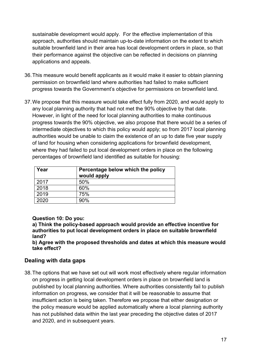sustainable development would apply. For the effective implementation of this approach, authorities should maintain up-to-date information on the extent to which suitable brownfield land in their area has local development orders in place, so that their performance against the objective can be reflected in decisions on planning applications and appeals.

- 36.This measure would benefit applicants as it would make it easier to obtain planning permission on brownfield land where authorities had failed to make sufficient progress towards the Government's objective for permissions on brownfield land.
- 37.We propose that this measure would take effect fully from 2020, and would apply to any local planning authority that had not met the 90% objective by that date. However, in light of the need for local planning authorities to make continuous progress towards the 90% objective, we also propose that there would be a series of intermediate objectives to which this policy would apply; so from 2017 local planning authorities would be unable to claim the existence of an up to date five year supply of land for housing when considering applications for brownfield development, where they had failed to put local development orders in place on the following percentages of brownfield land identified as suitable for housing:

| Year | Percentage below which the policy<br>would apply |
|------|--------------------------------------------------|
| 2017 | 50%                                              |
| 2018 | 60%                                              |
| 2019 | 75%                                              |
| 2020 | 90%                                              |

#### **Question 10: Do you:**

**a) Think the policy-based approach would provide an effective incentive for authorities to put local development orders in place on suitable brownfield land?**

**b) Agree with the proposed thresholds and dates at which this measure would take effect?**

#### **Dealing with data gaps**

38.The options that we have set out will work most effectively where regular information on progress in getting local development orders in place on brownfield land is published by local planning authorities. Where authorities consistently fail to publish information on progress, we consider that it will be reasonable to assume that insufficient action is being taken. Therefore we propose that either designation or the policy measure would be applied automatically where a local planning authority has not published data within the last year preceding the objective dates of 2017 and 2020, and in subsequent years.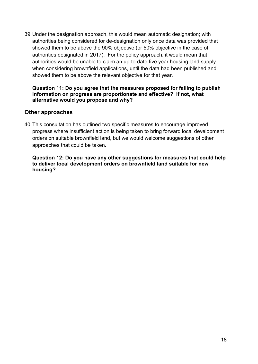39.Under the designation approach, this would mean automatic designation; with authorities being considered for de-designation only once data was provided that showed them to be above the 90% objective (or 50% objective in the case of authorities designated in 2017). For the policy approach, it would mean that authorities would be unable to claim an up-to-date five year housing land supply when considering brownfield applications, until the data had been published and showed them to be above the relevant objective for that year.

#### **Question 11: Do you agree that the measures proposed for failing to publish information on progress are proportionate and effective? If not, what alternative would you propose and why?**

#### **Other approaches**

40.This consultation has outlined two specific measures to encourage improved progress where insufficient action is being taken to bring forward local development orders on suitable brownfield land, but we would welcome suggestions of other approaches that could be taken.

**Question 12: Do you have any other suggestions for measures that could help to deliver local development orders on brownfield land suitable for new housing?**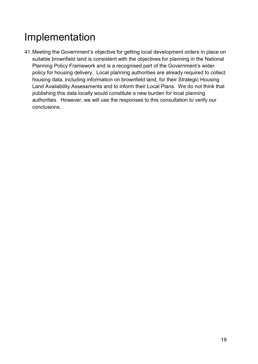# Implementation

41.Meeting the Government's objective for getting local development orders in place on suitable brownfield land is consistent with the objectives for planning in the National Planning Policy Framework and is a recognised part of the Government's wider policy for housing delivery. Local planning authorities are already required to collect housing data, including information on brownfield land, for their Strategic Housing Land Availability Assessments and to inform their Local Plans. We do not think that publishing this data locally would constitute a new burden for local planning authorities. However, we will use the responses to this consultation to verify our conclusions.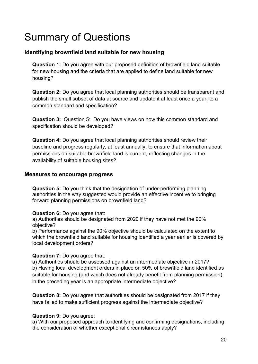# Summary of Questions

#### **Identifying brownfield land suitable for new housing**

**Question 1:** Do you agree with our proposed definition of brownfield land suitable for new housing and the criteria that are applied to define land suitable for new housing?

**Question 2:** Do you agree that local planning authorities should be transparent and publish the small subset of data at source and update it at least once a year, to a common standard and specification?

**Question 3:** Question 5: Do you have views on how this common standard and specification should be developed?

**Question 4:** Do you agree that local planning authorities should review their baseline and progress regularly, at least annually, to ensure that information about permissions on suitable brownfield land is current, reflecting changes in the availability of suitable housing sites?

#### **Measures to encourage progress**

**Question 5:** Do you think that the designation of under-performing planning authorities in the way suggested would provide an effective incentive to bringing forward planning permissions on brownfield land?

#### **Question 6:** Do you agree that:

a) Authorities should be designated from 2020 if they have not met the 90% objective?

b) Performance against the 90% objective should be calculated on the extent to which the brownfield land suitable for housing identified a year earlier is covered by local development orders?

#### **Question 7:** Do you agree that:

a) Authorities should be assessed against an intermediate objective in 2017? b) Having local development orders in place on 50% of brownfield land identified as suitable for housing (and which does not already benefit from planning permission) in the preceding year is an appropriate intermediate objective?

**Question 8:** Do you agree that authorities should be designated from 2017 if they have failed to make sufficient progress against the intermediate objective?

#### **Question 9:** Do you agree:

a) With our proposed approach to identifying and confirming designations, including the consideration of whether exceptional circumstances apply?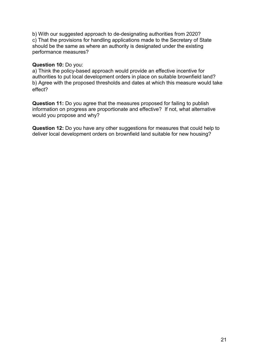b) With our suggested approach to de-designating authorities from 2020? c) That the provisions for handling applications made to the Secretary of State should be the same as where an authority is designated under the existing performance measures?

#### **Question 10:** Do you:

a) Think the policy-based approach would provide an effective incentive for authorities to put local development orders in place on suitable brownfield land? b) Agree with the proposed thresholds and dates at which this measure would take effect?

**Question 11:** Do you agree that the measures proposed for failing to publish information on progress are proportionate and effective? If not, what alternative would you propose and why?

**Question 12:** Do you have any other suggestions for measures that could help to deliver local development orders on brownfield land suitable for new housing?